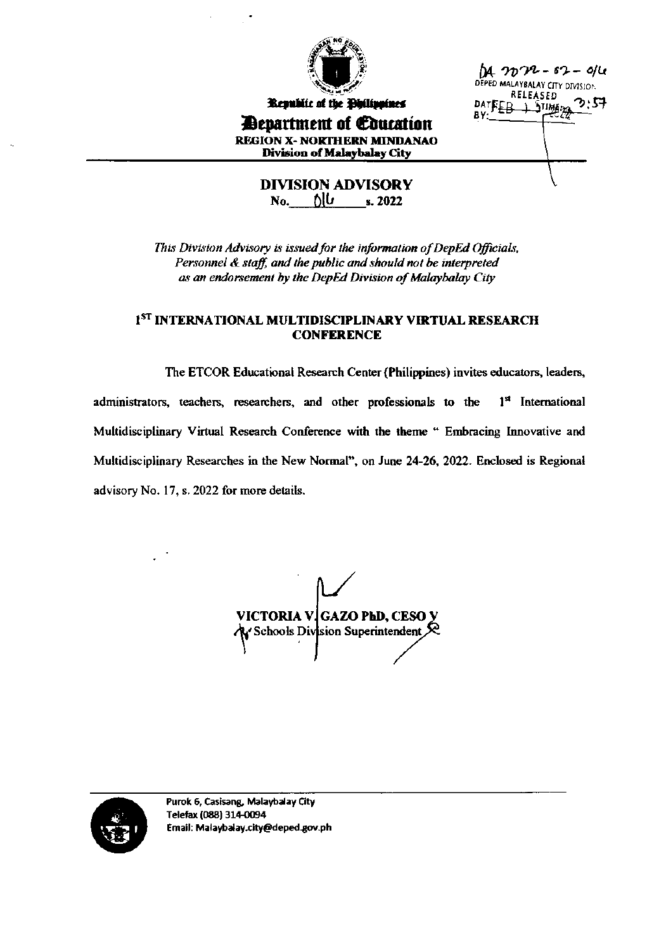

Republic of the Philippines

**Department of Education REGION X- NORTHERN MINDANAO Division of Malaybalay City** 

 $M_{1}$   $2022 - 62 - 9/4$ DEPED MALAYBALAY CITY DIVISION RELEASED DATEEB ⊥ பணு AV.

**DIVISION ADVISORY**  $\mathbb{N}_0$ ,  $\mathbb{N} \cup \mathbb{N}_1$ ,  $\mathbb{N}_2$ 

This Division Advisory is issued for the information of DepEd Officials, Personnel & staff, and the public and should not be interpreted as an endorsement by the DepEd Division of Malaybalay City

#### I<sup>ST</sup> INTERNATIONAL MULTIDISCIPLINARY VIRTUAL RESEARCH **CONFERENCE**

The ETCOR Educational Research Center (Philippines) invites educators, leaders, administrators, teachers, researchers, and other professionals to the 1st International Multidisciplinary Virtual Research Conference with the theme " Embracing Innovative and Multidisciplinary Researches in the New Normal", on June 24-26, 2022. Enclosed is Regional advisory No. 17, s. 2022 for more details.

VICTORIA V GAZO PhD, CESO Y  $\mathcal{L}$  Schools Division Superintendent  $\mathcal{R}$ 

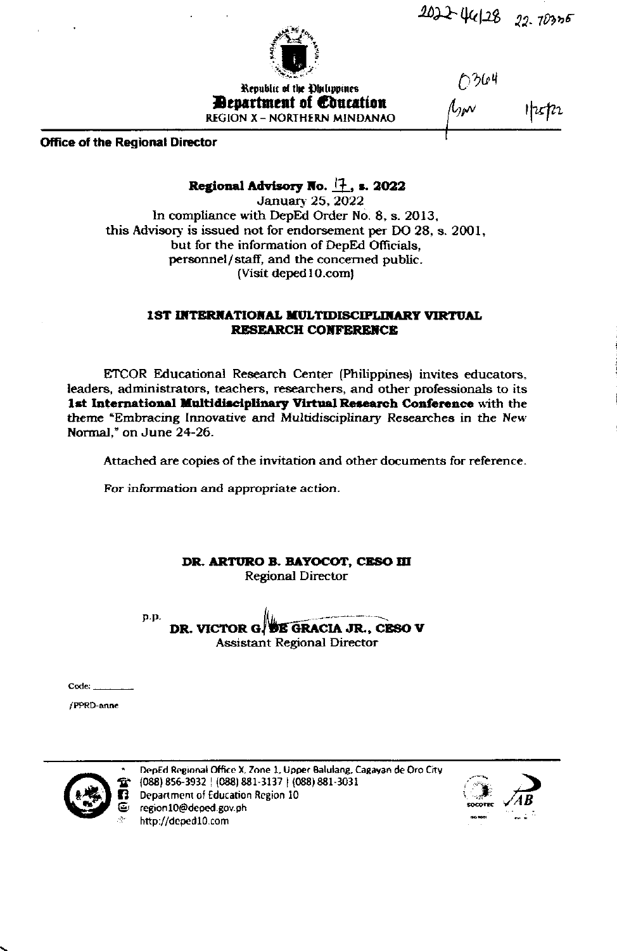$4022$  46/28 22.70305



Republic of the Dhilippines **Bevartment of Concation REGION X - NORTHERN MINDANAO**  0364

**Office of the Regional Director** 

## Regional Advisory No.  $\left|\frac{1}{1}\right|$ , s. 2022

**January 25, 2022** In compliance with DepEd Order No. 8, s. 2013, this Advisory is issued not for endorsement per DO 28, s. 2001, but for the information of DepEd Officials, personnel/staff, and the concerned public. (Visit deped 10.com)

### **1ST INTERNATIONAL MULTIDISCIPLINARY VIRTUAL RESEARCH CONFERENCE**

ETCOR Educational Research Center (Philippines) invites educators, leaders, administrators, teachers, researchers, and other professionals to its 1st International Multidisciplinary Virtual Research Conference with the theme "Embracing Innovative and Multidisciplinary Researches in the New Normal," on June 24-26.

Attached are copies of the invitation and other documents for reference.

For information and appropriate action.

DR. ARTURO B. BAYOCOT, CESO III **Regional Director** 

p.p.

DR. VICTOR G. DE GRACIA JR., CESO V **Assistant Regional Director** 

 $Code:$ 

/PPRD-anne



DepEd Regional Office X, Zone 1, Upper Balulang, Cagayan de Oro City (088) 856-3932 | (088) 881-3137 | (088) 881-3031 Department of Education Region 10 region10@deped.gov.ph http://deped10.com

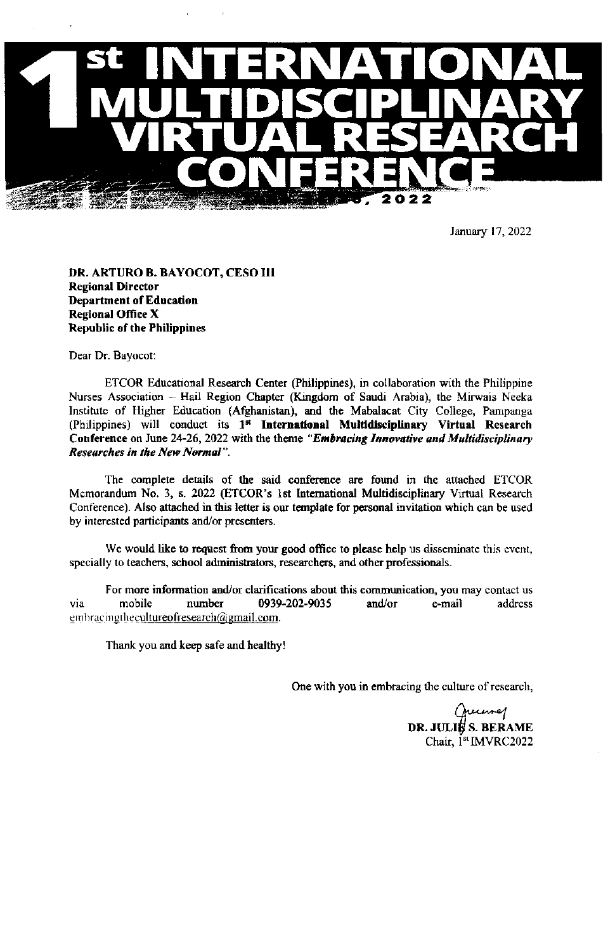

January 17, 2022

DR. ARTURO B. BAYOCOT, CESO III **Regional Director Department of Education Regional Office X Republic of the Philippines** 

Dear Dr. Bayocot:

ETCOR Educational Research Center (Philippines), in collaboration with the Philippine Nurses Association - Hail Region Chapter (Kingdom of Saudi Arabia), the Mirwais Neeka Institute of Higher Education (Afghanistan), and the Mabalacat City College, Pampanga (Philippines) will conduct its 1<sup>st</sup> International Multidisciplinary Virtual Research Conference on June 24-26, 2022 with the theme "Embracing Innovative and Multidisciplinary **Researches in the New Normal**".

The complete details of the said conference are found in the attached ETCOR Memorandum No. 3, s. 2022 (ETCOR's 1st International Multidisciplinary Virtual Research Conference). Also attached in this letter is our template for personal invitation which can be used by interested participants and/or presenters.

We would like to request from your good office to please help us disseminate this event, specially to teachers, school administrators, researchers, and other professionals.

For more information and/or clarifications about this communication, you may contact us mobile number 0939-202-9035 and/or e-mail address via embracingthecultureofresearch@gmail.com.

Thank you and keep safe and healthy!

One with you in embracing the culture of research,

vumej DR. JULI# S. BERAME Chair, 1st IMVRC2022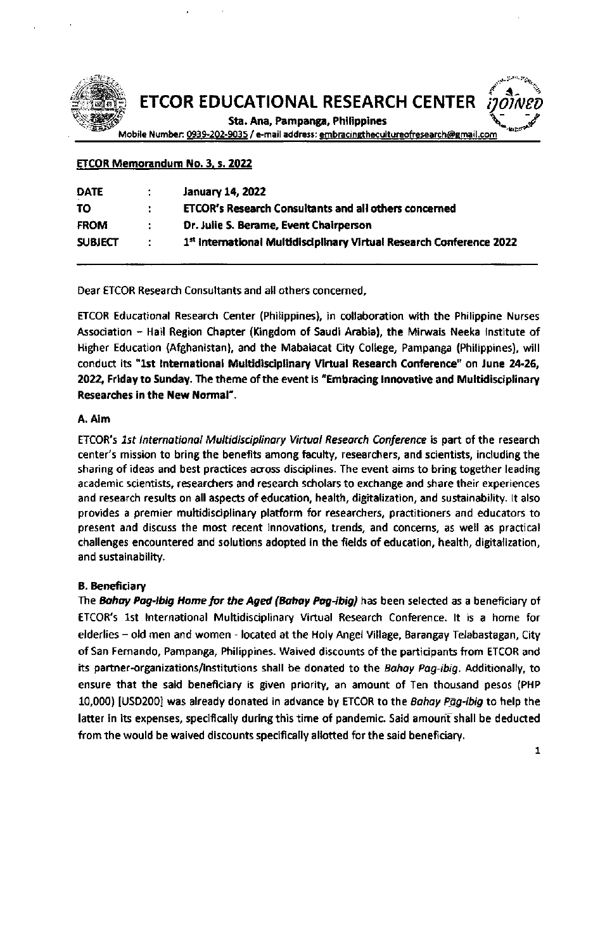

Sta. Ana, Pampanga, Philippines

Mobile Number: 0939-202-9035 / e-mail address: embracingthecultureofresearch@gmail.com

#### **ETCOR Memorandum No. 3, s. 2022**

| <b>DATE</b>    |                             | <b>January 14, 2022</b>                                              |
|----------------|-----------------------------|----------------------------------------------------------------------|
| TΟ             |                             | ETCOR's Research Consultants and all others concerned                |
| <b>FROM</b>    | ÷                           | Dr. Julie S. Berame, Event Chairperson                               |
| <b>SUBJECT</b> | $\mathcal{L}^{\mathcal{L}}$ | 1st International Multidisciplinary Virtual Research Conference 2022 |
|                |                             |                                                                      |

Dear ETCOR Research Consultants and all others concerned.

ETCOR Educational Research Center (Philippines), in collaboration with the Philippine Nurses Association - Hail Region Chapter (Kingdom of Saudi Arabia), the Mirwais Neeka Institute of Higher Education (Afghanistan), and the Mabalacat City College, Pampanga (Philippines), will conduct its "1st International Multidisciplinary Virtual Research Conference" on June 24-26, 2022, Friday to Sunday. The theme of the event is "Embracing Innovative and Multidisciplinary Researches in the New Normal".

#### A. Aim

ETCOR's 1st International Multidisciplinary Virtual Research Conference is part of the research center's mission to bring the benefits among faculty, researchers, and scientists, including the sharing of ideas and best practices across disciplines. The event aims to bring together leading academic scientists, researchers and research scholars to exchange and share their experiences and research results on all aspects of education, health, digitalization, and sustainability. It also provides a premier multidisciplinary platform for researchers, practitioners and educators to present and discuss the most recent innovations, trends, and concerns, as well as practical challenges encountered and solutions adopted in the fields of education, health, digitalization, and sustainability.

#### **B.** Beneficiary

The Bahay Pag-ibig Home for the Aged (Bahay Pag-ibig) has been selected as a beneficiary of ETCOR's 1st International Multidisciplinary Virtual Research Conference. It is a home for elderlies - old men and women - located at the Holy Angel Village, Barangay Telabastagan, City of San Fernando, Pampanga, Philippines. Waived discounts of the participants from ETCOR and its partner-organizations/institutions shall be donated to the Bahay Pag-ibig. Additionally, to ensure that the said beneficiary is given priority, an amount of Ten thousand pesos (PHP 10,000) [USD200] was already donated in advance by ETCOR to the Bahay Pag-ibig to help the latter in its expenses, specifically during this time of pandemic. Said amount shall be deducted from the would be waived discounts specifically allotted for the said beneficiary.

 $\mathbf{1}$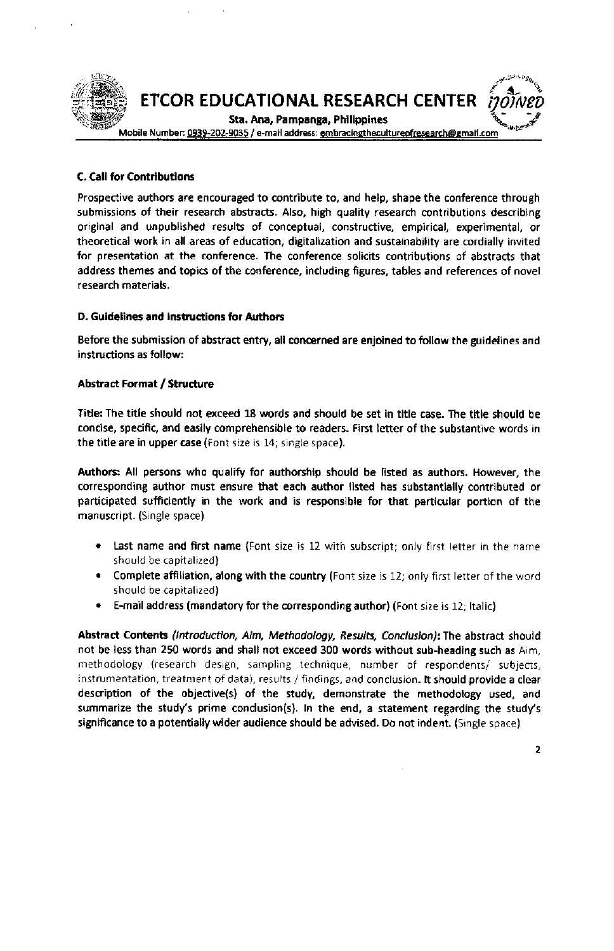

#### **C. Call for Contributions**

Prospective authors are encouraged to contribute to, and help, shape the conference through submissions of their research abstracts. Also, high quality research contributions describing original and unpublished results of conceptual, constructive, empirical, experimental, or theoretical work in all areas of education, digitalization and sustainability are cordially invited for presentation at the conference. The conference solicits contributions of abstracts that address themes and topics of the conference, including figures, tables and references of novel research materialS.

#### D. Guidelines and Instructions for Authors

Before the submission of abstract entry, all concerned are enjoined to follow the guidelines and instructions as follow:

#### Abstract Format / Strudure

Title: The title should not exceed 18 words and should be set in title case. The title should be concise, specific, and easily comprehensible to readers. First letter of the substantive words in the title are in upper case (Font size is 14; single space).

Authors: All persons who qualify for authorship should be listed as authors. However, the corresponding author must ensure that each author listed has substantially contributed or participated sufficiently in the work and is responsible for that pafticular portion of the manuscript. (5ingle space)

- Last name and first name (Font size is 12 with subscript; only first letter in the name should be capitalized)
- Complete affiliation, along with the country (Font size is 12; only first letter of the word should be capitalized)
- E-mail address (mandatory for the corresponding author) (Font size is 12; Italic)

Abstract Contents (Introduction, Aim, Methodology, Results, Conclusion): The abstract should not be less than 250 words and shall not exceed 300 words without sub-heading such as Aim, methodology (research design, sampling technique, number of respondents/ subjects, instrumentation, treatment of data), results / findings, and conclusion. It should provide a clear description of the objective(s) of the study, demonstrate the methodology used, and summarize the study's prime condusion(s). In the end, a statement regarding the study's significance to a potentially wider audience should be advised. Do not indent. (Single space)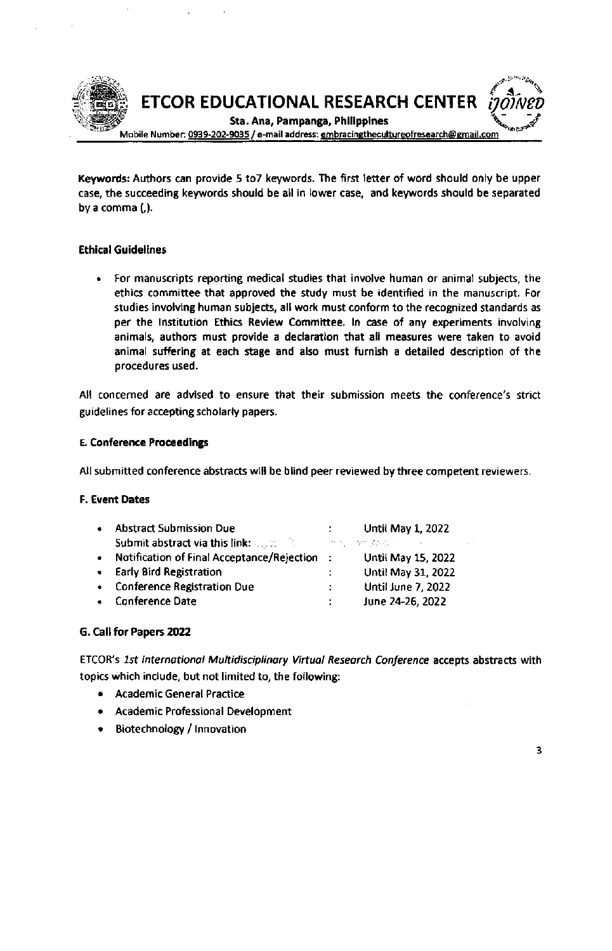

Keywords: Authors can provide 5 to7 keywords, The first letter of word should only be upper case, the succeeding keywords should be all in lower case, and keywords should be separated by a comma (,).

#### Ethical Guidelines

For manuscripts reporting medical studies that involve human or animal subjects, the ethics committee that approved the study must be identifled in the manuscript, For studies involving human subjects, all work must conform to the recognized standards as per the Institution Ethics Review Committee. In case of any experiments involving animals, authors must provide a declaration that all measures were taken to avoid animal suffering at each stage and also must furnish a detailed description of the procedures used.

All concerned are advised to ensure that their submission meets the conference's strict guidelines for accepting scholarly papers.

#### E. Conference Proceedingr

All submitted conference abstracts will be blind peer reviewed by three competent reviewers.

#### F. Event Dates

| $\bullet$ | <b>Abstract Submission Due</b>                                                                                                                                                                                                      |    | <b>Until May 1, 2022</b>  |
|-----------|-------------------------------------------------------------------------------------------------------------------------------------------------------------------------------------------------------------------------------------|----|---------------------------|
|           | <b>Submit abstract via this link:</b> All and the state of the state of the state of the state of the state of the state of the state of the state of the state of the state of the state of the state of the state of the state of |    | - 小作品 一般の読みながら            |
| $\bullet$ | Notification of Final Acceptance/Rejection :                                                                                                                                                                                        |    | Until May 15, 2022        |
|           | • Early Bird Registration                                                                                                                                                                                                           | ÷. | Until May 31, 2022        |
|           | • Conference Registration Due                                                                                                                                                                                                       | ÷. | <b>Until June 7, 2022</b> |
|           | • Conference Date                                                                                                                                                                                                                   |    | June 24-26, 2022          |

#### G. Call for Papers 2022

ETCOR's 1st International Multidisciplinary Virtual Research Conference accepts abstracts with topics which include, but not limited to, the following:

- . Academic General Practice
- . academic Professional Development
- . Biotechnology / lnnovation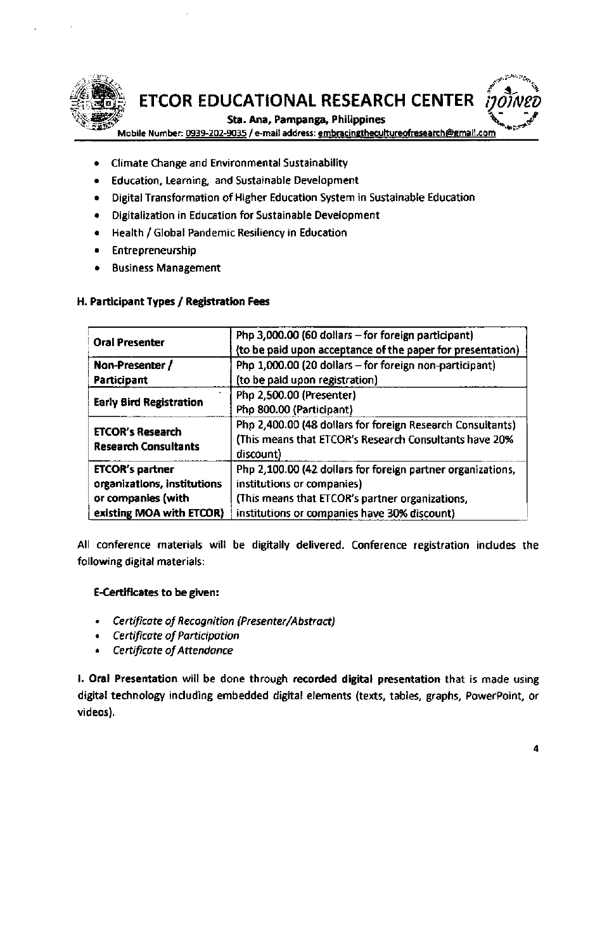

### Sta. Ana, Pampanga, Philippines

Mobile Number: 0939-202-9035 / e-mail address: embracingthecultureofresearch@gmail.com

- **Climate Change and Environmental Sustainability**
- Education, Learning, and Sustainable Development
- Digital Transformation of Higher Education System in Sustainable Education  $\bullet$
- Digitalization in Education for Sustainable Development  $\bullet$
- Health / Global Pandemic Resiliency in Education  $\bullet$
- Entrepreneurship  $\bullet$
- **Business Management**

| <b>Oral Presenter</b>                                  | Php 3,000.00 (60 dollars - for foreign participant)<br>(to be paid upon acceptance of the paper for presentation)                 |
|--------------------------------------------------------|-----------------------------------------------------------------------------------------------------------------------------------|
| Non-Presenter /                                        | Php 1,000.00 (20 dollars - for foreign non-participant)                                                                           |
| <b>Participant</b>                                     | (to be paid upon registration)                                                                                                    |
| <b>Early Bird Registration</b>                         | Php 2,500.00 (Presenter)<br>Php 800.00 (Participant)                                                                              |
| <b>ETCOR's Research</b><br><b>Research Consultants</b> | Php 2,400.00 (48 dollars for foreign Research Consultants)<br>(This means that ETCOR's Research Consultants have 20%<br>discount) |
| <b>ETCOR's partner</b><br>organizations, institutions  | Php 2,100.00 (42 dollars for foreign partner organizations,<br>institutions or companies)                                         |

#### H. Participant Types / Registration Fees

All conference materials will be digitally delivered. Conference registration includes the following digital materials:

(This means that ETCOR's partner organizations,

institutions or companies have 30% discount)

#### **E-Certificates to be given:**

existing MOA with ETCOR)

or companies (with

- Certificate of Recognition (Presenter/Abstract)
- **Certificate of Participation**
- **Certificate of Attendance**

1. Oral Presentation will be done through recorded digital presentation that is made using digital technology including embedded digital elements (texts, tables, graphs, PowerPoint, or videos).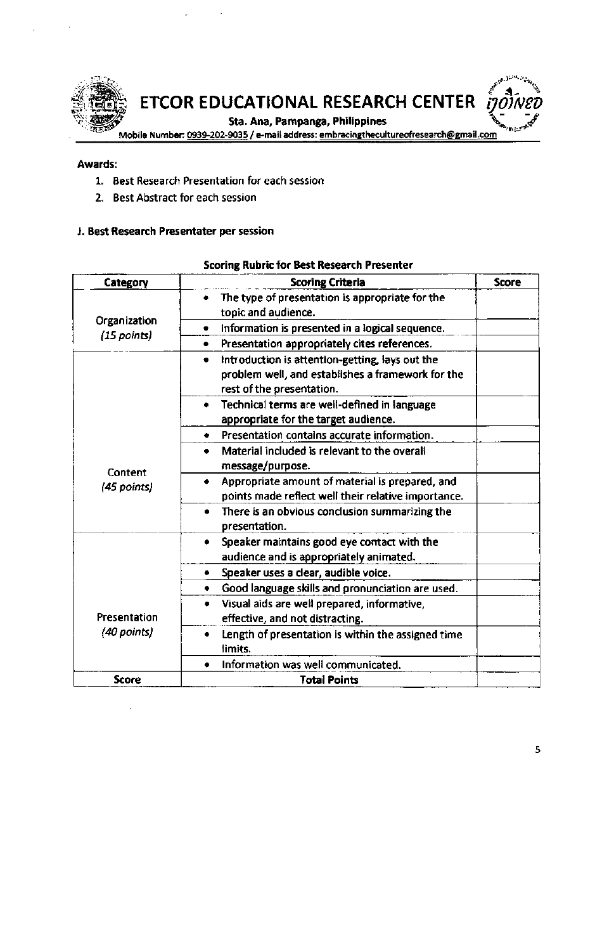

#### Awards:

- 1. Best Research Presentation for each session
- 2. Best Abstract for each session

#### J. Best Research Presentater per session

#### **Scoring Rubric for Best Research Presenter**

| Category      | <b>Scoring Criteria</b>                                                                                                                | Score |
|---------------|----------------------------------------------------------------------------------------------------------------------------------------|-------|
|               | The type of presentation is appropriate for the<br>topic and audience.                                                                 |       |
| Organization  | Information is presented in a logical sequence.<br>۰                                                                                   |       |
| $(15$ points) | Presentation appropriately cites references.<br>٠                                                                                      |       |
|               | Introduction is attention-getting, lays out the<br>۰<br>problem well, and establishes a framework for the<br>rest of the presentation. |       |
|               | Technical terms are well-defined in language<br>appropriate for the target audience.                                                   |       |
|               | Presentation contains accurate information.<br>٠                                                                                       |       |
| Content       | Material included is relevant to the overall<br>۰<br>message/purpose.                                                                  |       |
| (45 points)   | Appropriate amount of material is prepared, and<br>points made reflect well their relative importance.                                 |       |
|               | There is an obvious conclusion summarizing the<br>presentation.                                                                        |       |
|               | Speaker maintains good eye contact with the<br>audience and is appropriately animated.                                                 |       |
|               | Speaker uses a clear, audible voice.<br>۰                                                                                              |       |
|               | Good language skills and pronunciation are used.<br>۰                                                                                  |       |
| Presentation  | Visual aids are well prepared, informative,<br>effective, and not distracting.                                                         |       |
| (40 points)   | Length of presentation is within the assigned time<br>٠<br>limits.                                                                     |       |
|               | Information was well communicated.                                                                                                     |       |
| <b>Score</b>  | <b>Total Points</b>                                                                                                                    |       |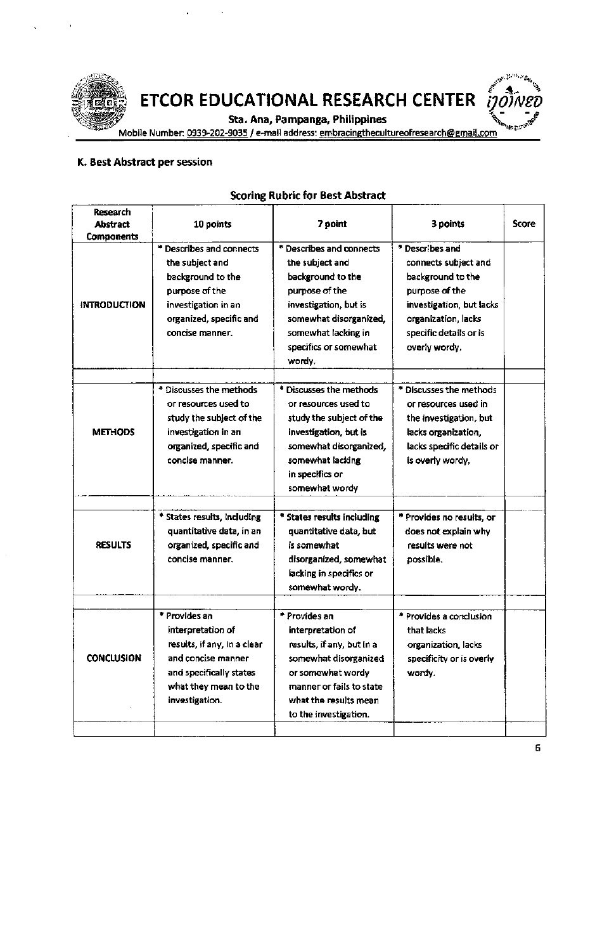

Sta. Ana, Pampanga, Philippines



Mobile Number: 0939-202-9035 / e-mail address: embracingthecultureofresearch@gmail.com

#### K. Best Abstract per session

#### Research **Score Abstract** 10 points 7 point 3 points Components \* Describes and connects **Describes and connects** \* Describes and the subject and the subject and connects subject and background to the background to the background to the purpose of the purpose of the purpose of the **INTRODUCTION** investigation in an investigation, but is investigation, but lacks organized, specific and somewhat disorganized, organization, lacks concise manner. somewhat lacking in specific details or is specifics or somewhat overly wordy. wordy. \* Discusses the methods \* Discusses the methods \* Discusses the methods or resources used to or resources used to or resources used in study the subject of the study the subject of the the investigation, but **METHODS** investigation in an investigation, but is lacks organization. organized, specific and somewhat disorganized, lacks specific details or concise manner. somewhat lacking is overly wordy, in specifics or somewhat wordy \* States results, including \* States results including \* Provides no results, or quantitative data, but quantitative data, in an does not explain why **RESULTS** organized, specific and is somewhat results were not concise manner. disorganized, somewhat possible. lacking in specifics or somewhat wordy. \* Provides an \* Provides an \* Provides a conclusion interpretation of interpretation of that lacks results, if any, in a clear results, if any, but in a organization, lacks **CONCLUSION** and concise manner somewhat disorganized specificity or is overly and specifically states or somewhat wordy wordy. what they mean to the manner or fails to state investigation. what the results mean to the investigation.

#### **Scoring Rubric for Best Abstract**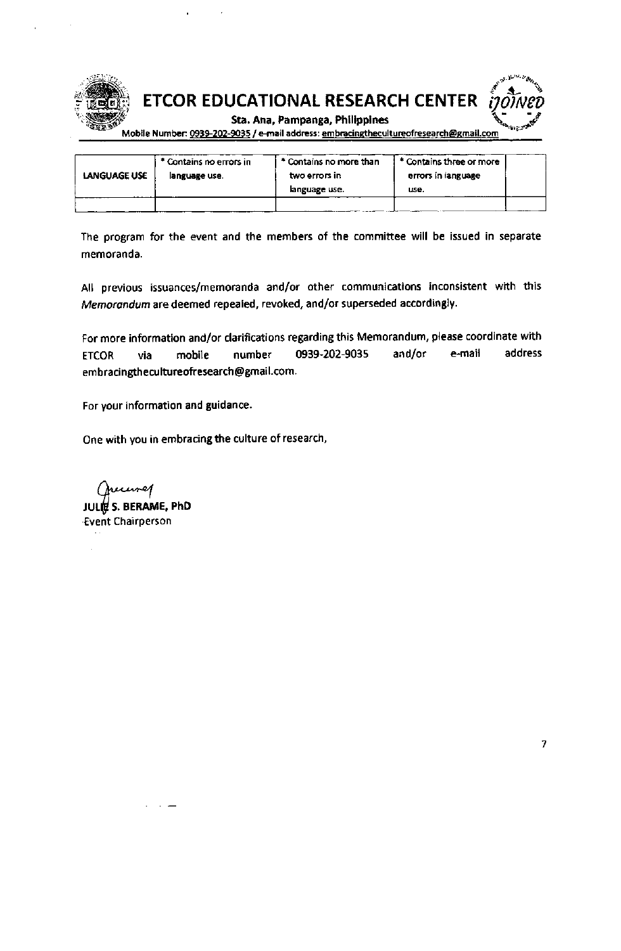



Sta. Ana, Pampanga, Philippines

Mobile Number: 0939-202-9035 / e-mail address: embracingthecultureofresearch@gmail.com

|              | * Contains no errors in | * Contains no more than | * Contains three or more |  |
|--------------|-------------------------|-------------------------|--------------------------|--|
| LANGUAGE USE | language use.           | two errors in           | errors in language       |  |
|              |                         | language use.           | use.                     |  |
|              |                         |                         |                          |  |

The program for the event and the members of the committee will be issued in separate memoranda.

All previous issuances/memoranda and/or other communications inconsistent with this Memorandum are deemed repealed, revoked, and/or superseded accordingly.

For more information and/or clarifications regarding this Memorandum, please coordinate with 0939-202-9035 address mobile number and/or e-mail **ETCOR** via embracingthecultureofresearch@gmail.com.

For your information and guidance.

One with you in embracing the culture of research,

inej JULIE S. BERAME, PhD **Event Chairperson**